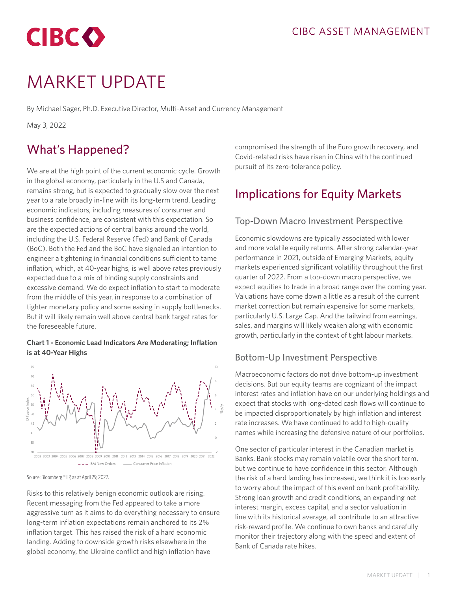

# MARKET UPDATE

By Michael Sager, Ph.D. Executive Director, Multi-Asset and Currency Management

May 3, 2022

# What's Happened?

We are at the high point of the current economic cycle. Growth in the global economy, particularly in the U.S and Canada, remains strong, but is expected to gradually slow over the next year to a rate broadly in-line with its long-term trend. Leading economic indicators, including measures of consumer and business confidence, are consistent with this expectation. So are the expected actions of central banks around the world, including the U.S. Federal Reserve (Fed) and Bank of Canada (BoC). Both the Fed and the BoC have signaled an intention to engineer a tightening in financial conditions sufficient to tame inflation, which, at 40-year highs, is well above rates previously expected due to a mix of binding supply constraints and excessive demand. We do expect inflation to start to moderate from the middle of this year, in response to a combination of tighter monetary policy and some easing in supply bottlenecks. But it will likely remain well above central bank target rates for the foreseeable future.

#### **Chart 1 - Economic Lead Indicators Are Moderating; Inflation is at 40-Year Highs**



Source: Bloomberg ® LP, as at April 29, 2022.

Risks to this relatively benign economic outlook are rising. Recent messaging from the Fed appeared to take a more aggressive turn as it aims to do everything necessary to ensure long-term inflation expectations remain anchored to its 2% inflation target. This has raised the risk of a hard economic landing. Adding to downside growth risks elsewhere in the global economy, the Ukraine conflict and high inflation have

compromised the strength of the Euro growth recovery, and Covid-related risks have risen in China with the continued pursuit of its zero-tolerance policy.

## Implications for Equity Markets

#### Top-Down Macro Investment Perspective

Economic slowdowns are typically associated with lower and more volatile equity returns. After strong calendar-year performance in 2021, outside of Emerging Markets, equity markets experienced significant volatility throughout the first quarter of 2022. From a top-down macro perspective, we expect equities to trade in a broad range over the coming year. Valuations have come down a little as a result of the current market correction but remain expensive for some markets, particularly U.S. Large Cap. And the tailwind from earnings, sales, and margins will likely weaken along with economic growth, particularly in the context of tight labour markets.

#### Bottom-Up Investment Perspective

Macroeconomic factors do not drive bottom-up investment decisions. But our equity teams are cognizant of the impact interest rates and inflation have on our underlying holdings and expect that stocks with long-dated cash flows will continue to be impacted disproportionately by high inflation and interest rate increases. We have continued to add to high-quality names while increasing the defensive nature of our portfolios.

One sector of particular interest in the Canadian market is Banks. Bank stocks may remain volatile over the short term, but we continue to have confidence in this sector. Although the risk of a hard landing has increased, we think it is too early to worry about the impact of this event on bank profitability. Strong loan growth and credit conditions, an expanding net interest margin, excess capital, and a sector valuation in line with its historical average, all contribute to an attractive risk-reward profile. We continue to own banks and carefully monitor their trajectory along with the speed and extent of Bank of Canada rate hikes.